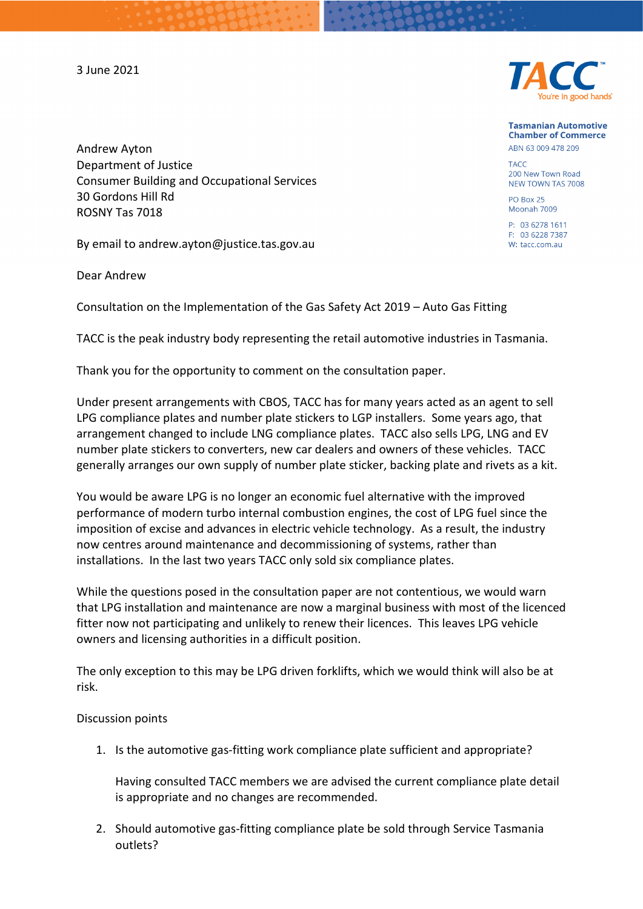3 June 2021



**Tasmanian Automotive Chamber of Commerce** ABN 63 009 478 209

TACC 200 New Town Road NEW TOWN TAS 7008

PO Box 25 Moonah 7009

P: 03 6278 1611 E: 03 6228 7387 W: tacc.com.au

Andrew Ayton Department of Justice Consumer Building and Occupational Services 30 Gordons Hill Rd ROSNY Tas 7018

By email to andrew.ayton@justice.tas.gov.au

Dear Andrew

Consultation on the Implementation of the Gas Safety Act 2019 – Auto Gas Fitting

TACC is the peak industry body representing the retail automotive industries in Tasmania.

Thank you for the opportunity to comment on the consultation paper.

Under present arrangements with CBOS, TACC has for many years acted as an agent to sell LPG compliance plates and number plate stickers to LGP installers. Some years ago, that arrangement changed to include LNG compliance plates. TACC also sells LPG, LNG and EV number plate stickers to converters, new car dealers and owners of these vehicles. TACC generally arranges our own supply of number plate sticker, backing plate and rivets as a kit.

You would be aware LPG is no longer an economic fuel alternative with the improved performance of modern turbo internal combustion engines, the cost of LPG fuel since the imposition of excise and advances in electric vehicle technology. As a result, the industry now centres around maintenance and decommissioning of systems, rather than installations. In the last two years TACC only sold six compliance plates.

While the questions posed in the consultation paper are not contentious, we would warn that LPG installation and maintenance are now a marginal business with most of the licenced fitter now not participating and unlikely to renew their licences. This leaves LPG vehicle owners and licensing authorities in a difficult position.

The only exception to this may be LPG driven forklifts, which we would think will also be at risk.

## Discussion points

1. Is the automotive gas-fitting work compliance plate sufficient and appropriate?

Having consulted TACC members we are advised the current compliance plate detail is appropriate and no changes are recommended.

2. Should automotive gas-fitting compliance plate be sold through Service Tasmania outlets?